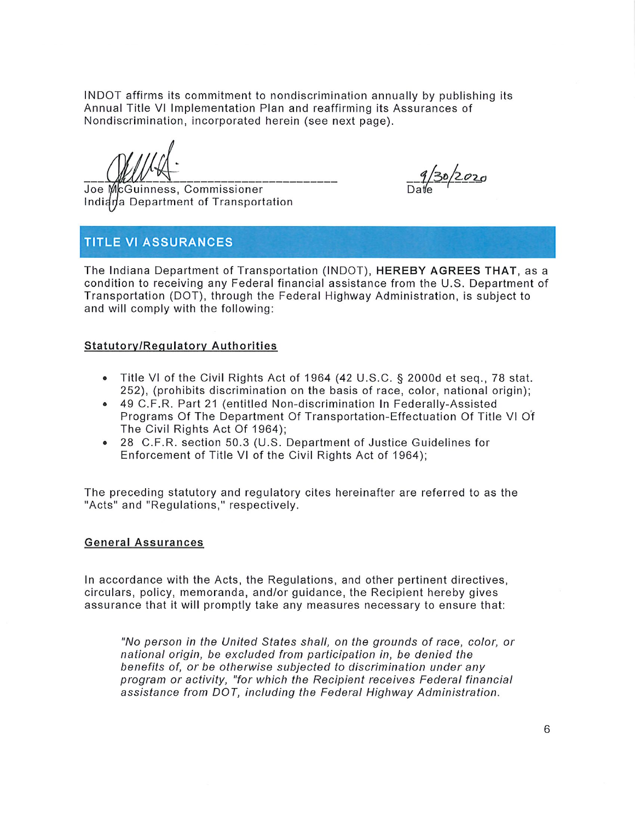INDOT affirms its commitment to nondiscrimination annually by publishing its Annual Title VI Implementation Plan and reaffirming its Assurances of Nondiscrimination, incorporated herein (see next page).

Joe McGuinness, Commissioner Indiana Department of Transportation

 $9/30/2020$ 

# **TITLE VI ASSURANCES**

The Indiana Department of Transportation (INDOT), HEREBY AGREES THAT, as a condition to receiving any Federal financial assistance from the U.S. Department of Transportation (DOT), through the Federal Highway Administration, is subject to and will comply with the following:

#### **Statutory/Regulatory Authorities**

- Title VI of the Civil Rights Act of 1964 (42 U.S.C. § 2000d et seq., 78 stat. 252), (prohibits discrimination on the basis of race, color, national origin);
- 49 C.F.R. Part 21 (entitled Non-discrimination In Federally-Assisted Programs Of The Department Of Transportation-Effectuation Of Title VI Of The Civil Rights Act Of 1964);
- 28 C.F.R. section 50.3 (U.S. Department of Justice Guidelines for Enforcement of Title VI of the Civil Rights Act of 1964);

The preceding statutory and regulatory cites hereinafter are referred to as the "Acts" and "Regulations," respectively.

#### **General Assurances**

In accordance with the Acts, the Regulations, and other pertinent directives, circulars, policy, memoranda, and/or guidance, the Recipient hereby gives assurance that it will promptly take any measures necessary to ensure that:

"No person in the United States shall, on the grounds of race, color, or national origin, be excluded from participation in, be denied the benefits of, or be otherwise subjected to discrimination under any program or activity, "for which the Recipient receives Federal financial assistance from DOT, including the Federal Highway Administration.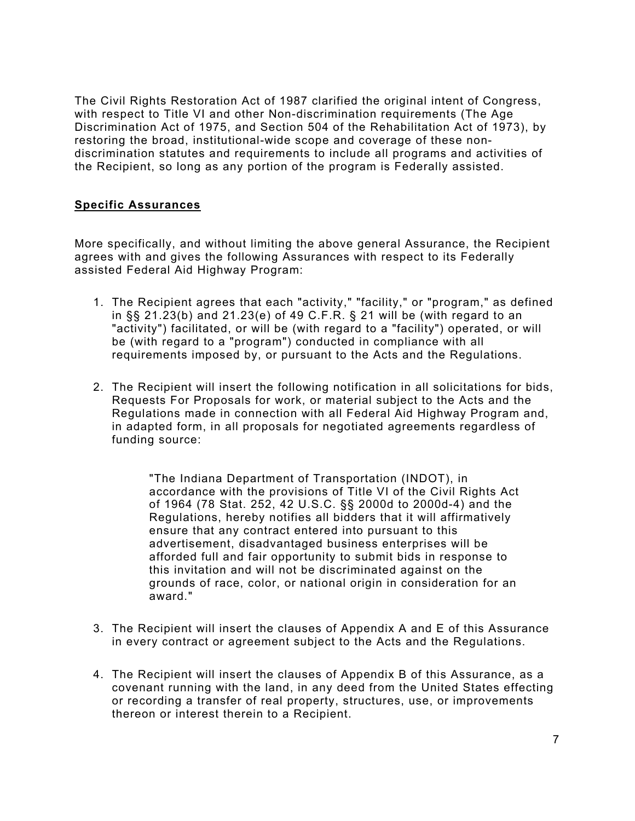The Civil Rights Restoration Act of 1987 clarified the original intent of Congress, with respect to Title VI and other Non-discrimination requirements (The Age Discrimination Act of 1975, and Section 504 of the Rehabilitation Act of 1973), by restoring the broad, institutional-wide scope and coverage of these nondiscrimination statutes and requirements to include all programs and activities of the Recipient, so long as any portion of the program is Federally assisted.

## **Specific Assurances**

More specifically, and without limiting the above general Assurance, the Recipient agrees with and gives the following Assurances with respect to its Federally assisted Federal Aid Highway Program:

- 1. The Recipient agrees that each "activity," "facility," or "program," as defined in §§ 21.23(b) and 21.23(e) of 49 C.F.R. § 21 will be (with regard to an "activity") facilitated, or will be (with regard to a "facility") operated, or will be (with regard to a "program") conducted in compliance with all requirements imposed by, or pursuant to the Acts and the Regulations.
- 2. The Recipient will insert the following notification in all solicitations for bids, Requests For Proposals for work, or material subject to the Acts and the Regulations made in connection with all Federal Aid Highway Program and, in adapted form, in all proposals for negotiated agreements regardless of funding source:

"The Indiana Department of Transportation (INDOT), in accordance with the provisions of Title VI of the Civil Rights Act of 1964 (78 Stat. 252, 42 U.S.C. §§ 2000d to 2000d-4) and the Regulations, hereby notifies all bidders that it will affirmatively ensure that any contract entered into pursuant to this advertisement, disadvantaged business enterprises will be afforded full and fair opportunity to submit bids in response to this invitation and will not be discriminated against on the grounds of race, color, or national origin in consideration for an award."

- 3. The Recipient will insert the clauses of Appendix A and E of this Assurance in every contract or agreement subject to the Acts and the Regulations.
- 4. The Recipient will insert the clauses of Appendix B of this Assurance, as a covenant running with the land, in any deed from the United States effecting or recording a transfer of real property, structures, use, or improvements thereon or interest therein to a Recipient.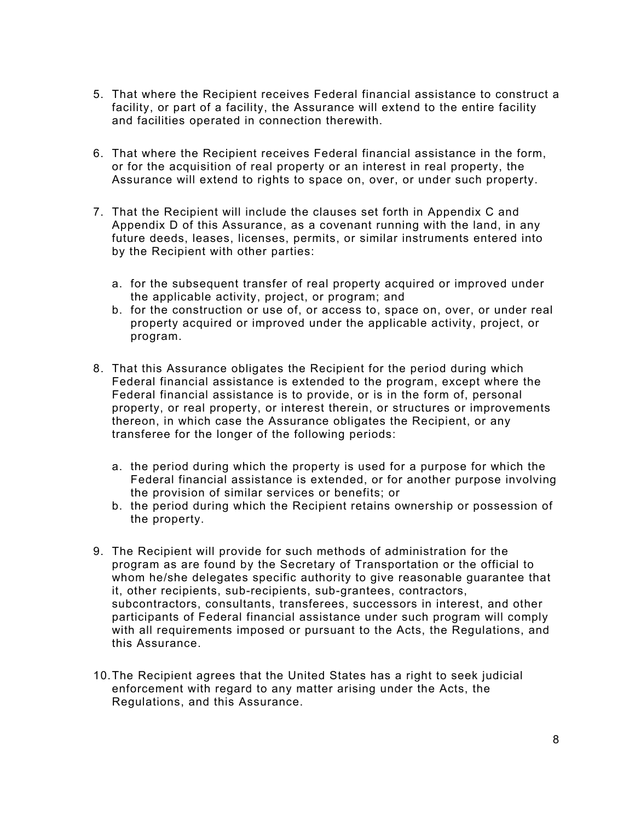- 5. That where the Recipient receives Federal financial assistance to construct a facility, or part of a facility, the Assurance will extend to the entire facility and facilities operated in connection therewith.
- 6. That where the Recipient receives Federal financial assistance in the form, or for the acquisition of real property or an interest in real property, the Assurance will extend to rights to space on, over, or under such property.
- 7. That the Recipient will include the clauses set forth in Appendix C and Appendix D of this Assurance, as a covenant running with the land, in any future deeds, leases, licenses, permits, or similar instruments entered into by the Recipient with other parties:
	- a. for the subsequent transfer of real property acquired or improved under the applicable activity, project, or program; and
	- b. for the construction or use of, or access to, space on, over, or under real property acquired or improved under the applicable activity, project, or program.
- 8. That this Assurance obligates the Recipient for the period during which Federal financial assistance is extended to the program, except where the Federal financial assistance is to provide, or is in the form of, personal property, or real property, or interest therein, or structures or improvements thereon, in which case the Assurance obligates the Recipient, or any transferee for the longer of the following periods:
	- a. the period during which the property is used for a purpose for which the Federal financial assistance is extended, or for another purpose involving the provision of similar services or benefits; or
	- b. the period during which the Recipient retains ownership or possession of the property.
- 9. The Recipient will provide for such methods of administration for the program as are found by the Secretary of Transportation or the official to whom he/she delegates specific authority to give reasonable guarantee that it, other recipients, sub-recipients, sub-grantees, contractors, subcontractors, consultants, transferees, successors in interest, and other participants of Federal financial assistance under such program will comply with all requirements imposed or pursuant to the Acts, the Regulations, and this Assurance.
- 10. The Recipient agrees that the United States has a right to seek judicial enforcement with regard to any matter arising under the Acts, the Regulations, and this Assurance.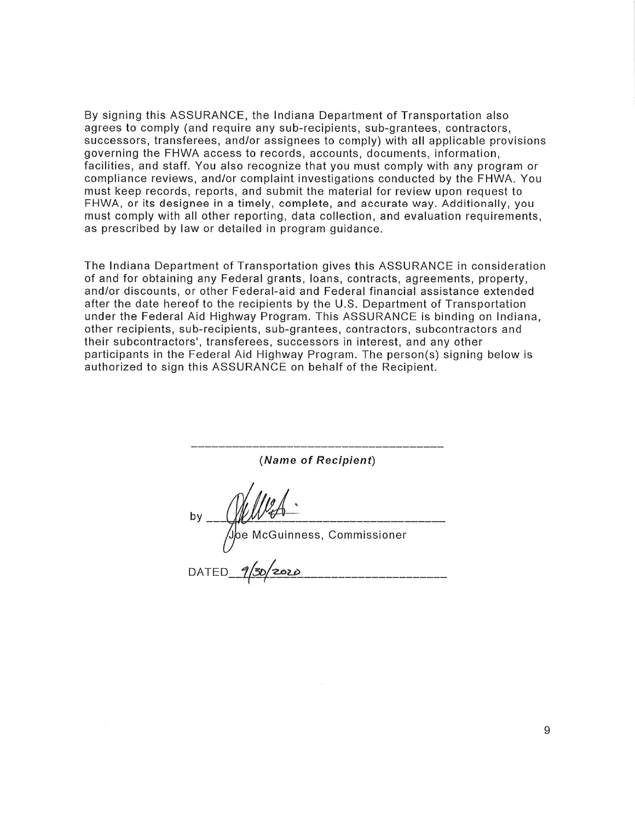By signing this ASSURANCE, the Indiana Department of Transportation also agrees to comply (and require any sub-recipients, sub-grantees, contractors, successors, transferees, and/or assignees to comply) with all applicable provisions governing the FHWA access to records, accounts, documents, information, facilities, and staff. You also recognize that you must comply with any program or compliance reviews, and/or complaint investigations conducted by the FHWA. You must keep records, reports, and submit the material for review upon request to FHWA, or its designee in a timely, complete, and accurate way. Additionally, you must comply with all other reporting, data collection, and evaluation requirements. as prescribed by law or detailed in program guidance.

The Indiana Department of Transportation gives this ASSURANCE in consideration of and for obtaining any Federal grants, Ioans, contracts, agreements, property, and/or discounts, or other Federal-aid and Federal financial assistance extended after the date hereof to the recipients by the U.S. Department of Transportation under the Federal Aid Highway Program. This ASSURANCE is binding on Indiana, other recipients, sub-recipients, sub-grantees, contractors, subcontractors and their subcontractors', transferees, successors in interest, and any other participants in the Federal Aid Highway Program. The person(s) signing below is authorized to sign this ASSURANCE on behalf of the Recipient.

> (Name of Recipient) MW<del>YI</del><br>Joe McGuinness, Commissioner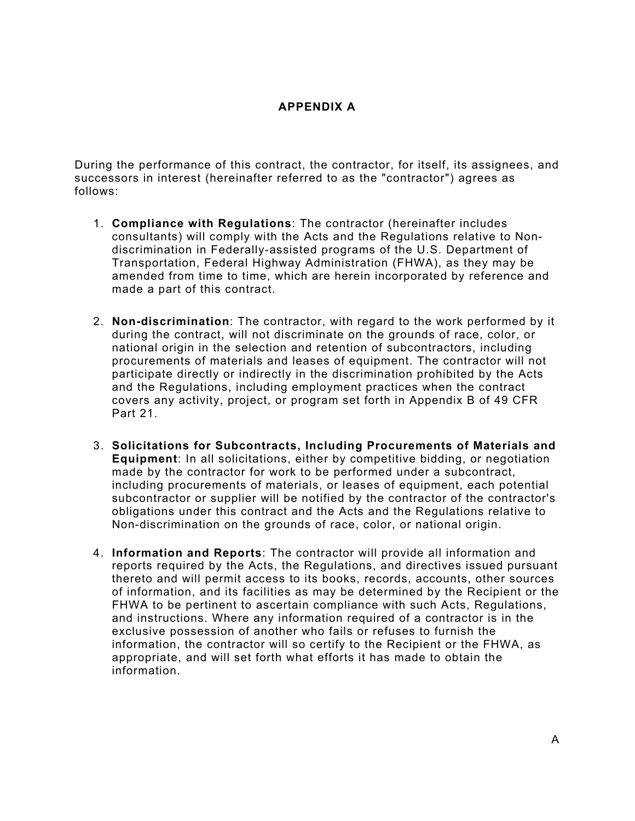## **APPENDIX A**

During the performance of this contract, the contractor, for itself, its assignees, and successors in interest (hereinafter referred to as the "contractor") agrees as follows:

- 1. **Compliance with Regulations**: The contractor (hereinafter includes consultants) will comply with the Acts and the Regulations relative to Nondiscrimination in Federally-assisted programs of the U.S. Department of Transportation, Federal Highway Administration (FHWA), as they may be amended from time to time, which are herein incorporated by reference and made a part of this contract.
- 2. **Non-discrimination**: The contractor, with regard to the work performed by it during the contract, will not discriminate on the grounds of race, color, or national origin in the selection and retention of subcontractors, including procurements of materials and leases of equipment. The contractor will not participate directly or indirectly in the discrimination prohibited by the Acts and the Regulations, including employment practices when the contract covers any activity, project, or program set forth in Appendix B of 49 CFR Part 21.
- 3. **Solicitations for Subcontracts, Including Procurements of Materials and Equipment**: In all solicitations, either by competitive bidding, or negotiation made by the contractor for work to be performed under a subcontract, including procurements of materials, or leases of equipment, each potential subcontractor or supplier will be notified by the contractor of the contractor's obligations under this contract and the Acts and the Regulations relative to Non-discrimination on the grounds of race, color, or national origin.
- 4. **Information and Reports**: The contractor will provide all information and reports required by the Acts, the Regulations, and directives issued pursuant thereto and will permit access to its books, records, accounts, other sources of information, and its facilities as may be determined by the Recipient or the FHWA to be pertinent to ascertain compliance with such Acts, Regulations, and instructions. Where any information required of a contractor is in the exclusive possession of another who fails or refuses to furnish the information, the contractor will so certify to the Recipient or the FHWA, as appropriate, and will set forth what efforts it has made to obtain the information.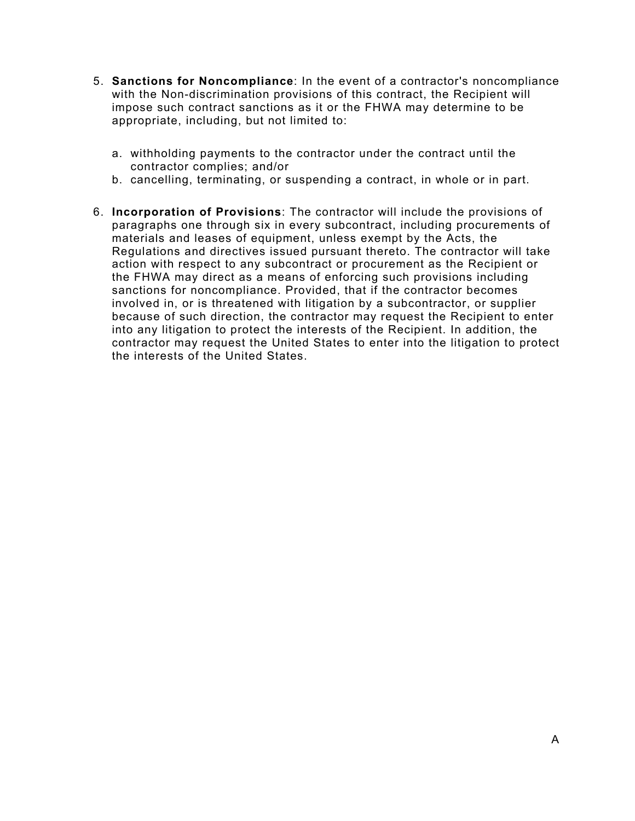- 5. **Sanctions for Noncompliance**: In the event of a contractor's noncompliance with the Non-discrimination provisions of this contract, the Recipient will impose such contract sanctions as it or the FHWA may determine to be appropriate, including, but not limited to:
	- a. withholding payments to the contractor under the contract until the contractor complies; and/or
	- b. cancelling, terminating, or suspending a contract, in whole or in part.
- 6. **Incorporation of Provisions**: The contractor will include the provisions of paragraphs one through six in every subcontract, including procurements of materials and leases of equipment, unless exempt by the Acts, the Regulations and directives issued pursuant thereto. The contractor will take action with respect to any subcontract or procurement as the Recipient or the FHWA may direct as a means of enforcing such provisions including sanctions for noncompliance. Provided, that if the contractor becomes involved in, or is threatened with litigation by a subcontractor, or supplier because of such direction, the contractor may request the Recipient to enter into any litigation to protect the interests of the Recipient. In addition, the contractor may request the United States to enter into the litigation to protect the interests of the United States.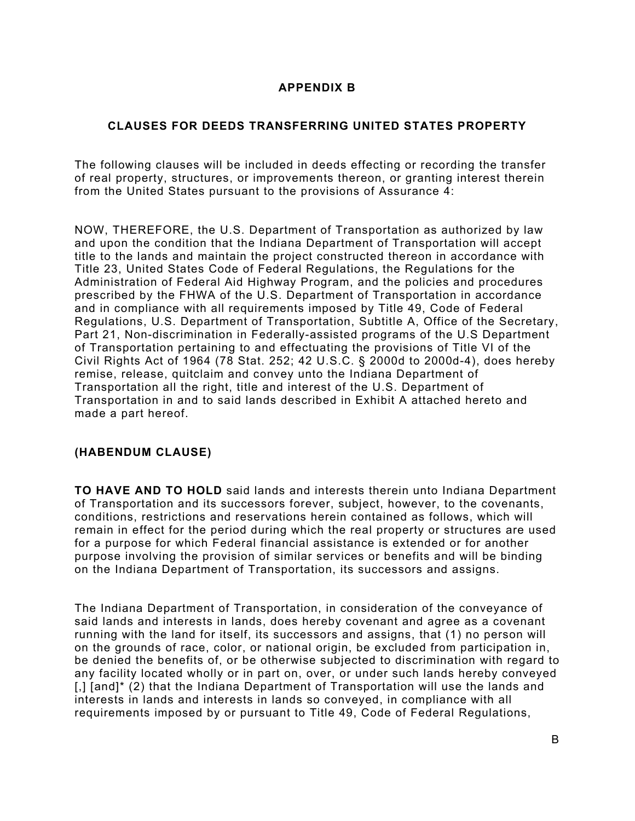## **APPENDIX B**

## **CLAUSES FOR DEEDS TRANSFERRING UNITED STATES PROPERTY**

The following clauses will be included in deeds effecting or recording the transfer of real property, structures, or improvements thereon, or granting interest therein from the United States pursuant to the provisions of Assurance 4:

NOW, THEREFORE, the U.S. Department of Transportation as authorized by law and upon the condition that the Indiana Department of Transportation will accept title to the lands and maintain the project constructed thereon in accordance with Title 23, United States Code of Federal Regulations, the Regulations for the Administration of Federal Aid Highway Program, and the policies and procedures prescribed by the FHWA of the U.S. Department of Transportation in accordance and in compliance with all requirements imposed by Title 49, Code of Federal Regulations, U.S. Department of Transportation, Subtitle A, Office of the Secretary, Part 21, Non-discrimination in Federally-assisted programs of the U.S Department of Transportation pertaining to and effectuating the provisions of Title VI of the Civil Rights Act of 1964 (78 Stat. 252; 42 U.S.C. § 2000d to 2000d-4), does hereby remise, release, quitclaim and convey unto the Indiana Department of Transportation all the right, title and interest of the U.S. Department of Transportation in and to said lands described in Exhibit A attached hereto and made a part hereof.

## **(HABENDUM CLAUSE)**

**TO HAVE AND TO HOLD** said lands and interests therein unto Indiana Department of Transportation and its successors forever, subject, however, to the covenants, conditions, restrictions and reservations herein contained as follows, which will remain in effect for the period during which the real property or structures are used for a purpose for which Federal financial assistance is extended or for another purpose involving the provision of similar services or benefits and will be binding on the Indiana Department of Transportation, its successors and assigns.

The Indiana Department of Transportation, in consideration of the conveyance of said lands and interests in lands, does hereby covenant and agree as a covenant running with the land for itself, its successors and assigns, that (1) no person will on the grounds of race, color, or national origin, be excluded from participation in, be denied the benefits of, or be otherwise subjected to discrimination with regard to any facility located wholly or in part on, over, or under such lands hereby conveyed [,] [and]\* (2) that the Indiana Department of Transportation will use the lands and interests in lands and interests in lands so conveyed, in compliance with all requirements imposed by or pursuant to Title 49, Code of Federal Regulations,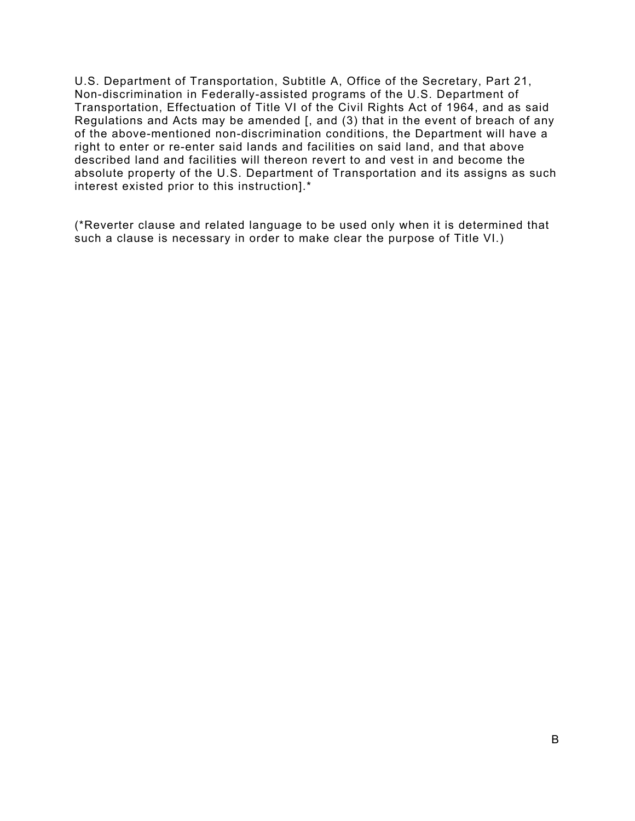U.S. Department of Transportation, Subtitle A, Office of the Secretary, Part 21, Non-discrimination in Federally-assisted programs of the U.S. Department of Transportation, Effectuation of Title VI of the Civil Rights Act of 1964, and as said Regulations and Acts may be amended [, and (3) that in the event of breach of any of the above-mentioned non-discrimination conditions, the Department will have a right to enter or re-enter said lands and facilities on said land, and that above described land and facilities will thereon revert to and vest in and become the absolute property of the U.S. Department of Transportation and its assigns as such interest existed prior to this instruction].\*

(\*Reverter clause and related language to be used only when it is determined that such a clause is necessary in order to make clear the purpose of Title VI.)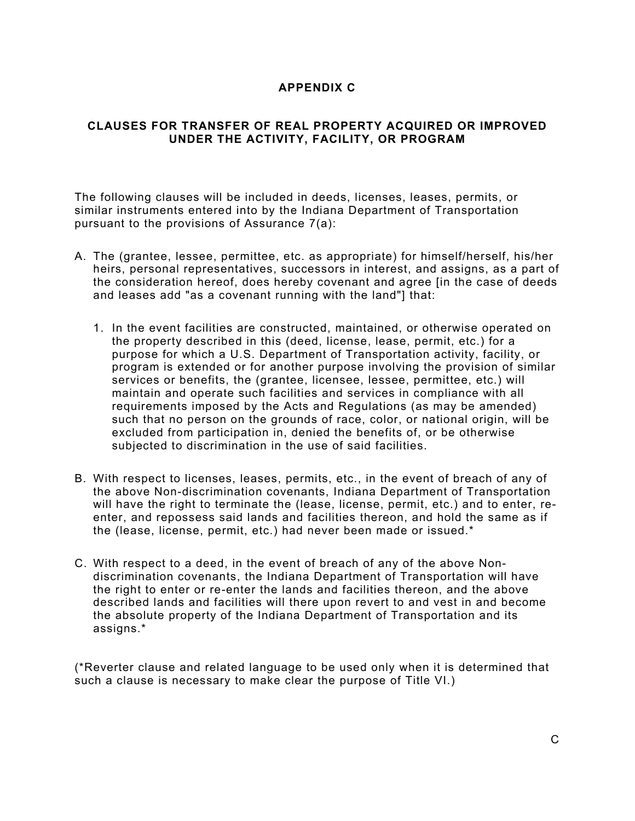### **APPENDIX C**

#### **CLAUSES FOR TRANSFER OF REAL PROPERTY ACQUIRED OR IMPROVED UNDER THE ACTIVITY, FACILITY, OR PROGRAM**

The following clauses will be included in deeds, licenses, leases, permits, or similar instruments entered into by the Indiana Department of Transportation pursuant to the provisions of Assurance 7(a):

- A. The (grantee, lessee, permittee, etc. as appropriate) for himself/herself, his/her heirs, personal representatives, successors in interest, and assigns, as a part of the consideration hereof, does hereby covenant and agree [in the case of deeds and leases add "as a covenant running with the land"] that:
	- 1. In the event facilities are constructed, maintained, or otherwise operated on the property described in this (deed, license, lease, permit, etc.) for a purpose for which a U.S. Department of Transportation activity, facility, or program is extended or for another purpose involving the provision of similar services or benefits, the (grantee, licensee, lessee, permittee, etc.) will maintain and operate such facilities and services in compliance with all requirements imposed by the Acts and Regulations (as may be amended) such that no person on the grounds of race, color, or national origin, will be excluded from participation in, denied the benefits of, or be otherwise subjected to discrimination in the use of said facilities.
- B. With respect to licenses, leases, permits, etc., in the event of breach of any of the above Non-discrimination covenants, Indiana Department of Transportation will have the right to terminate the (lease, license, permit, etc.) and to enter, reenter, and repossess said lands and facilities thereon, and hold the same as if the (lease, license, permit, etc.) had never been made or issued.\*
- C. With respect to a deed, in the event of breach of any of the above Nondiscrimination covenants, the Indiana Department of Transportation will have the right to enter or re-enter the lands and facilities thereon, and the above described lands and facilities will there upon revert to and vest in and become the absolute property of the Indiana Department of Transportation and its assigns.\*

(\*Reverter clause and related language to be used only when it is determined that such a clause is necessary to make clear the purpose of Title VI.)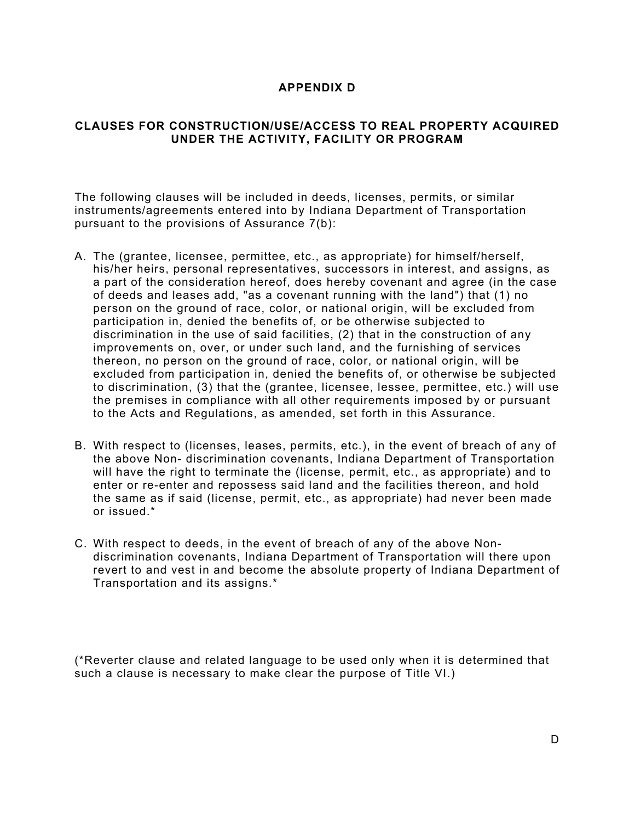#### **APPENDIX D**

#### **CLAUSES FOR CONSTRUCTION/USE/ACCESS TO REAL PROPERTY ACQUIRED UNDER THE ACTIVITY, FACILITY OR PROGRAM**

The following clauses will be included in deeds, licenses, permits, or similar instruments/agreements entered into by Indiana Department of Transportation pursuant to the provisions of Assurance 7(b):

- A. The (grantee, licensee, permittee, etc., as appropriate) for himself/herself, his/her heirs, personal representatives, successors in interest, and assigns, as a part of the consideration hereof, does hereby covenant and agree (in the case of deeds and leases add, "as a covenant running with the land") that (1) no person on the ground of race, color, or national origin, will be excluded from participation in, denied the benefits of, or be otherwise subjected to discrimination in the use of said facilities, (2) that in the construction of any improvements on, over, or under such land, and the furnishing of services thereon, no person on the ground of race, color, or national origin, will be excluded from participation in, denied the benefits of, or otherwise be subjected to discrimination, (3) that the (grantee, licensee, lessee, permittee, etc.) will use the premises in compliance with all other requirements imposed by or pursuant to the Acts and Regulations, as amended, set forth in this Assurance.
- B. With respect to (licenses, leases, permits, etc.), in the event of breach of any of the above Non- discrimination covenants, Indiana Department of Transportation will have the right to terminate the (license, permit, etc., as appropriate) and to enter or re-enter and repossess said land and the facilities thereon, and hold the same as if said (license, permit, etc., as appropriate) had never been made or issued.\*
- C. With respect to deeds, in the event of breach of any of the above Nondiscrimination covenants, Indiana Department of Transportation will there upon revert to and vest in and become the absolute property of Indiana Department of Transportation and its assigns.\*

(\*Reverter clause and related language to be used only when it is determined that such a clause is necessary to make clear the purpose of Title VI.)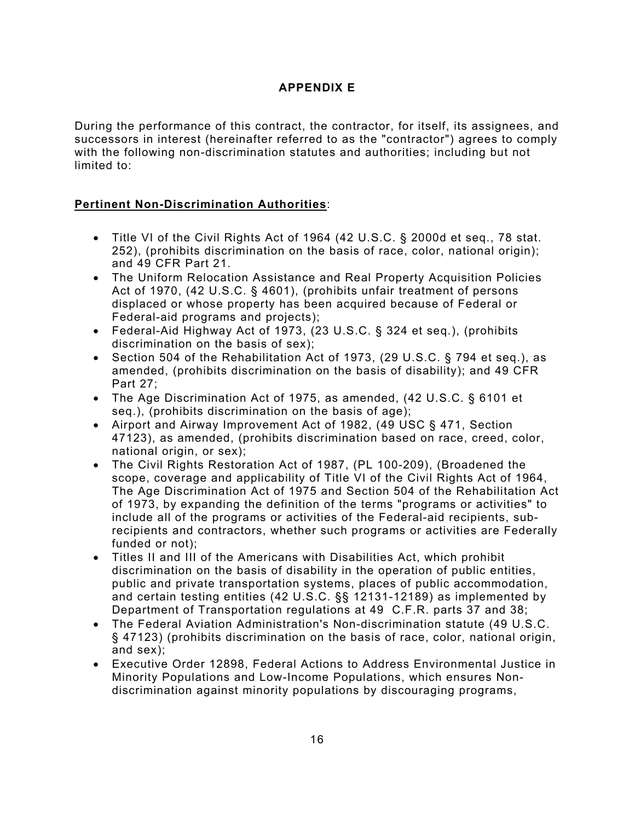## **APPENDIX E**

During the performance of this contract, the contractor, for itself, its assignees, and successors in interest (hereinafter referred to as the "contractor") agrees to comply with the following non-discrimination statutes and authorities; including but not limited to:

#### **Pertinent Non-Discrimination Authorities**:

- Title VI of the Civil Rights Act of 1964 (42 U.S.C. § 2000d et seq., 78 stat. 252), (prohibits discrimination on the basis of race, color, national origin); and 49 CFR Part 21.
- The Uniform Relocation Assistance and Real Property Acquisition Policies Act of 1970, (42 U.S.C. § 4601), (prohibits unfair treatment of persons displaced or whose property has been acquired because of Federal or Federal-aid programs and projects);
- Federal-Aid Highway Act of 1973, (23 U.S.C. § 324 et seq.), (prohibits discrimination on the basis of sex);
- Section 504 of the Rehabilitation Act of 1973, (29 U.S.C. § 794 et seq.), as amended, (prohibits discrimination on the basis of disability); and 49 CFR Part 27;
- The Age Discrimination Act of 1975, as amended, (42 U.S.C. § 6101 et seq.), (prohibits discrimination on the basis of age);
- Airport and Airway Improvement Act of 1982, (49 USC § 471, Section 47123), as amended, (prohibits discrimination based on race, creed, color, national origin, or sex);
- The Civil Rights Restoration Act of 1987, (PL 100-209), (Broadened the scope, coverage and applicability of Title VI of the Civil Rights Act of 1964, The Age Discrimination Act of 1975 and Section 504 of the Rehabilitation Act of 1973, by expanding the definition of the terms "programs or activities" to include all of the programs or activities of the Federal-aid recipients, subrecipients and contractors, whether such programs or activities are Federally funded or not);
- Titles II and III of the Americans with Disabilities Act, which prohibit discrimination on the basis of disability in the operation of public entities, public and private transportation systems, places of public accommodation, and certain testing entities (42 U.S.C. §§ 12131-12189) as implemented by Department of Transportation regulations at 49 C.F.R. parts 37 and 38;
- The Federal Aviation Administration's Non-discrimination statute (49 U.S.C. § 47123) (prohibits discrimination on the basis of race, color, national origin, and sex);
- Executive Order 12898, Federal Actions to Address Environmental Justice in Minority Populations and Low-Income Populations, which ensures Nondiscrimination against minority populations by discouraging programs,